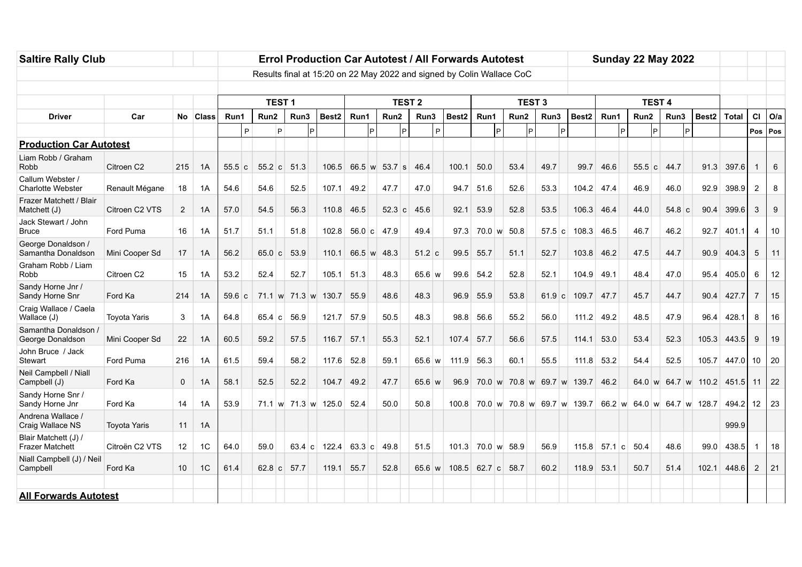| <b>Saltire Rally Club</b>                      |                                                                       |                 |          | <b>Errol Production Car Autotest / All Forwards Autotest</b> |             |   |           |                     |                         |   |                        |                  |   |                   |             |               | <b>Sunday 22 May 2022</b> |  |             |                                                       |              |      |             |             |  |           |  |                     |              |                  |                       |
|------------------------------------------------|-----------------------------------------------------------------------|-----------------|----------|--------------------------------------------------------------|-------------|---|-----------|---------------------|-------------------------|---|------------------------|------------------|---|-------------------|-------------|---------------|---------------------------|--|-------------|-------------------------------------------------------|--------------|------|-------------|-------------|--|-----------|--|---------------------|--------------|------------------|-----------------------|
|                                                | Results final at 15:20 on 22 May 2022 and signed by Colin Wallace CoC |                 |          |                                                              |             |   |           |                     |                         |   |                        |                  |   |                   |             |               |                           |  |             |                                                       |              |      |             |             |  |           |  |                     |              |                  |                       |
|                                                |                                                                       |                 |          |                                                              |             |   |           |                     |                         |   |                        |                  |   |                   |             |               |                           |  |             |                                                       |              |      |             |             |  |           |  |                     |              |                  |                       |
|                                                |                                                                       |                 |          | <b>TEST1</b>                                                 |             |   |           | <b>TEST 2</b>       |                         |   |                        |                  |   |                   |             | <b>TEST 3</b> |                           |  |             | <b>TEST 4</b>                                         |              |      |             |             |  |           |  |                     |              |                  |                       |
| <b>Driver</b>                                  | Car                                                                   |                 | No Class | Run1<br>P                                                    | Run2        | P | Run3<br>P | Best <sub>2</sub>   | Run1                    | P | Run2<br>$\overline{P}$ | Run3             | P | Best <sub>2</sub> | Run1        | <b>P</b>      | Run2                      |  | Run3<br>l P | Best <sub>2</sub>                                     |              | Run1 |             | Run2<br>lP. |  | Run3      |  | Best <sub>2</sub>   | <b>Total</b> |                  | $CI$ O/a<br>Pos   Pos |
| <b>Production Car Autotest</b>                 |                                                                       |                 |          |                                                              |             |   |           |                     |                         |   |                        |                  |   |                   |             |               |                           |  |             |                                                       |              |      |             |             |  |           |  |                     |              |                  |                       |
| Liam Robb / Graham<br>Robb                     | Citroen C <sub>2</sub>                                                | 215             | 1A       | 55.5 c                                                       | 55.2 c      |   | 51.3      | 106.5               | $66.5 \text{ w}$ 53.7 s |   |                        | 46.4             |   | 100.1             | 50.0        |               | 53.4                      |  | 49.7        | 99.7                                                  | 46.6         |      |             | 55.5 c      |  | 44.7      |  | 91.3                | 397.6        |                  | 6                     |
| Callum Webster /<br><b>Charlotte Webster</b>   | Renault Mégane                                                        | 18              | 1A       | 54.6                                                         | 54.6        |   | 52.5      | 107.1               | 49.2                    |   | 47.7                   | 47.0             |   | 94.7              | 51.6        |               | 52.6                      |  | 53.3        | 104.2 47.4                                            |              |      |             | 46.9        |  | 46.0      |  | 92.9                | 398.9        | $\overline{2}$   | 8                     |
| Frazer Matchett / Blair<br>Matchett (J)        | Citroen C2 VTS                                                        | $\overline{2}$  | 1A       | 57.0                                                         | 54.5        |   | 56.3      | 110.8               | 46.5                    |   | 52.3 c                 | 45.6             |   | 92.1              | 53.9        |               | 52.8                      |  | 53.5        |                                                       | 106.3 46.4   |      |             | 44.0        |  | $54.8\ c$ |  | 90.4                | 399.6        | 3                | 9                     |
| Jack Stewart / John<br>Bruce                   | Ford Puma                                                             | 16              | 1A       | 51.7                                                         | 51.1        |   | 51.8      | 102.8               | - 56.0   c              |   | 47.9                   | 49.4             |   | 97.3              |             |               | 70.0 w 50.8               |  | 57.5 c      | 108.3                                                 | 46.5         |      |             | 46.7        |  | 46.2      |  | 92.7                | 401.1        | 4                | 10                    |
| George Donaldson /<br>Samantha Donaldson       | Mini Cooper Sd                                                        | 17              | 1A       | 56.2                                                         | 65.0 c      |   | 53.9      | 110.1               | 66.5 w 48.3             |   |                        | $51.2$ c         |   | 99.5              | 55.7        |               | 51.1                      |  | 52.7        | 103.8                                                 | 46.2         |      |             | 47.5        |  | 44.7      |  | 90.9                | 404.3        | 5                | 11                    |
| Graham Robb / Liam<br>Robb                     | Citroen C2                                                            | 15              | 1A       | 53.2                                                         | 52.4        |   | 52.7      | 105.1               | 51.3                    |   | 48.3                   | $65.6 \text{ w}$ |   | 99.6              | 54.2        |               | 52.8                      |  | 52.1        | 104.9                                                 | 49.1         |      |             | 48.4        |  | 47.0      |  | 95.4                | 405.0        | 6                | 12                    |
| Sandy Horne Jnr /<br>Sandy Horne Snr           | Ford Ka                                                               | 214             | 1A       | 59.6 c                                                       |             |   |           | 71.1 w 71.3 w 130.7 | 55.9                    |   | 48.6                   | 48.3             |   | 96.9              | 55.9        |               | 53.8                      |  | $61.9$ c    | 109.7                                                 | 47.7         |      |             | 45.7        |  | 44.7      |  | 90.4                | 427.7        | 7                | 15                    |
| Craig Wallace / Caela<br>Wallace (J)           | <b>Toyota Yaris</b>                                                   | 3               | 1A       | 64.8                                                         | 65.4 c      |   | 56.9      | 121.7 57.9          |                         |   | 50.5                   | 48.3             |   | 98.8              | 56.6        |               | 55.2                      |  | 56.0        |                                                       | $111.2$ 49.2 |      |             | 48.5        |  | 47.9      |  | 96.4                | 428.1        | 8                | 16                    |
| Samantha Donaldson /<br>George Donaldson       | Mini Cooper Sd                                                        | 22              | 1A       | 60.5                                                         | 59.2        |   | 57.5      | 116.7               | 57.1                    |   | 55.3                   | 52.1             |   | 107.4             | 57.7        |               | 56.6                      |  | 57.5        | 114.1                                                 | 53.0         |      |             | 53.4        |  | 52.3      |  | 105.3               | 443.5        | 9                | 19                    |
| John Bruce / Jack<br>Stewart                   | Ford Puma                                                             | 216             | 1A       | 61.5                                                         | 59.4        |   | 58.2      | 117.6 52.8          |                         |   | 59.1                   | $65.6 \text{ w}$ |   | 111.9             | 56.3        |               | 60.1                      |  | 55.5        |                                                       | $111.8$ 53.2 |      |             | 54.4        |  | 52.5      |  |                     | 105.7 447.0  | 10               | 20                    |
| Neil Campbell / Niall<br>Campbell (J)          | Ford Ka                                                               | 0               | 1A       | 58.1                                                         | 52.5        |   | 52.2      | 104.7               | 49.2                    |   | 47.7                   | $65.6 \text{ w}$ |   | 96.9              |             |               |                           |  |             | 70.0 w 70.8 w 69.7 w 139.7 46.2                       |              |      |             |             |  |           |  | 64.0 w 64.7 w 110.2 | 451.5        | 11               | 22                    |
| Sandy Horne Snr /<br>Sandy Horne Jnr           | Ford Ka                                                               | 14              | 1A       | 53.9                                                         |             |   |           | 71.1 w 71.3 w 125.0 | 52.4                    |   | 50.0                   | 50.8             |   | 100.8             |             |               |                           |  |             | 70.0 w 70.8 w 69.7 w 139.7 66.2 w 64.0 w 64.7 w 128.7 |              |      |             |             |  |           |  |                     | 494.2        | 12 <sup>12</sup> | 23                    |
| Andrena Wallace /<br>Craig Wallace NS          | Toyota Yaris                                                          | 11              | 1A       |                                                              |             |   |           |                     |                         |   |                        |                  |   |                   |             |               |                           |  |             |                                                       |              |      |             |             |  |           |  |                     | 999.9        |                  |                       |
| Blair Matchett (J) /<br><b>Frazer Matchett</b> | Citroën C2 VTS                                                        | 12 <sup>°</sup> | 1C       | 64.0                                                         | 59.0        |   |           | 63.4 c 122.4        | 63.3 c                  |   | 49.8                   | 51.5             |   | 101.3             |             |               | 70.0 w 58.9               |  | 56.9        | 115.8                                                 |              |      | 57.1 c 50.4 |             |  | 48.6      |  | 99.0                | 438.5        |                  | 18                    |
| Niall Campbell (J) / Neil<br>Campbell          | Ford Ka                                                               | 10              | 1C       | 61.4                                                         | 62.8 c 57.7 |   |           | 119.1               | 55.7                    |   | 52.8                   | $65.6 \text{ w}$ |   | 108.5             | 62.7 c 58.7 |               |                           |  | 60.2        | 118.9                                                 | 53.1         |      |             | 50.7        |  | 51.4      |  | 102.1               | 448.6        | $\overline{2}$   | 21                    |
| <b>All Forwards Autotest</b>                   |                                                                       |                 |          |                                                              |             |   |           |                     |                         |   |                        |                  |   |                   |             |               |                           |  |             |                                                       |              |      |             |             |  |           |  |                     |              |                  |                       |